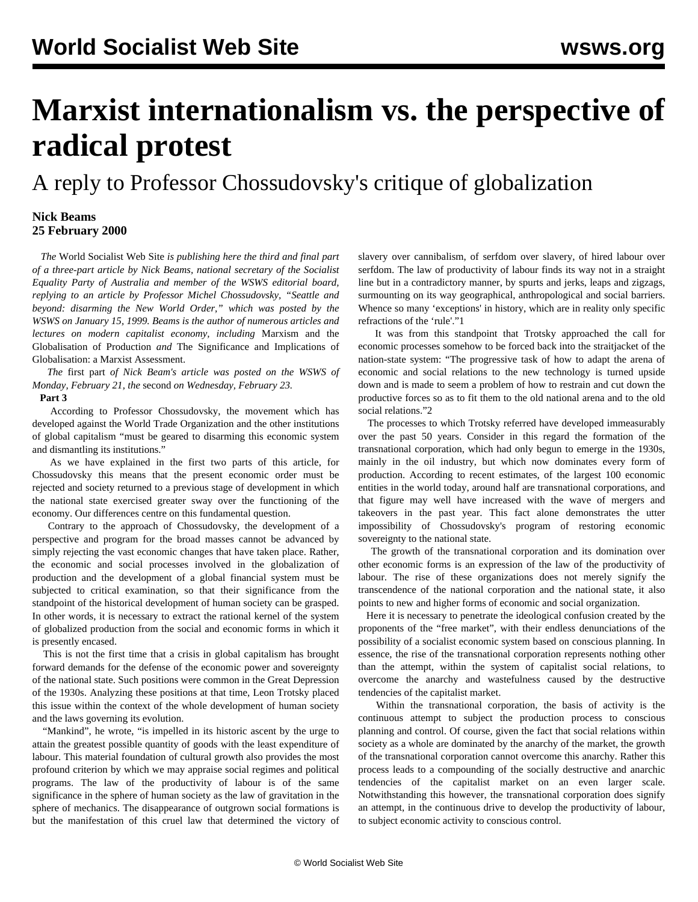## **Marxist internationalism vs. the perspective of radical protest**

A reply to Professor Chossudovsky's critique of globalization

## **Nick Beams 25 February 2000**

 *The* World Socialist Web Site *is publishing here the third and final part of a three-part article by Nick Beams, national secretary of the Socialist Equality Party of Australia and member of the WSWS editorial board, replying to an article by Professor Michel Chossudovsky, "Seattle and beyond: disarming the New World Order," which was posted by the WSWS on January 15, 1999. Beams is the author of numerous articles and lectures on modern capitalist economy, including* Marxism and the Globalisation of Production *and* The Significance and Implications of Globalisation: a Marxist Assessment.

 *The* [first part](/en/articles/2000/02/cho1-f21.html) *of Nick Beam's article was posted on the WSWS of Monday, February 21, the* [second](/share/page/site/wsws/en/articles/2000/02/chos2-f23.html) *on Wednesday, February 23.*

## **Part 3**

 According to Professor Chossudovsky, the movement which has developed against the World Trade Organization and the other institutions of global capitalism "must be geared to disarming this economic system and dismantling its institutions."

 As we have explained in the first two parts of this article, for Chossudovsky this means that the present economic order must be rejected and society returned to a previous stage of development in which the national state exercised greater sway over the functioning of the economy. Our differences centre on this fundamental question.

 Contrary to the approach of Chossudovsky, the development of a perspective and program for the broad masses cannot be advanced by simply rejecting the vast economic changes that have taken place. Rather, the economic and social processes involved in the globalization of production and the development of a global financial system must be subjected to critical examination, so that their significance from the standpoint of the historical development of human society can be grasped. In other words, it is necessary to extract the rational kernel of the system of globalized production from the social and economic forms in which it is presently encased.

 This is not the first time that a crisis in global capitalism has brought forward demands for the defense of the economic power and sovereignty of the national state. Such positions were common in the Great Depression of the 1930s. Analyzing these positions at that time, Leon Trotsky placed this issue within the context of the whole development of human society and the laws governing its evolution.

 "Mankind", he wrote, "is impelled in its historic ascent by the urge to attain the greatest possible quantity of goods with the least expenditure of labour. This material foundation of cultural growth also provides the most profound criterion by which we may appraise social regimes and political programs. The law of the productivity of labour is of the same significance in the sphere of human society as the law of gravitation in the sphere of mechanics. The disappearance of outgrown social formations is but the manifestation of this cruel law that determined the victory of slavery over cannibalism, of serfdom over slavery, of hired labour over serfdom. The law of productivity of labour finds its way not in a straight line but in a contradictory manner, by spurts and jerks, leaps and zigzags, surmounting on its way geographical, anthropological and social barriers. Whence so many 'exceptions' in history, which are in reality only specific refractions of the 'rule'."1

 It was from this standpoint that Trotsky approached the call for economic processes somehow to be forced back into the straitjacket of the nation-state system: "The progressive task of how to adapt the arena of economic and social relations to the new technology is turned upside down and is made to seem a problem of how to restrain and cut down the productive forces so as to fit them to the old national arena and to the old social relations."2

 The processes to which Trotsky referred have developed immeasurably over the past 50 years. Consider in this regard the formation of the transnational corporation, which had only begun to emerge in the 1930s, mainly in the oil industry, but which now dominates every form of production. According to recent estimates, of the largest 100 economic entities in the world today, around half are transnational corporations, and that figure may well have increased with the wave of mergers and takeovers in the past year. This fact alone demonstrates the utter impossibility of Chossudovsky's program of restoring economic sovereignty to the national state.

 The growth of the transnational corporation and its domination over other economic forms is an expression of the law of the productivity of labour. The rise of these organizations does not merely signify the transcendence of the national corporation and the national state, it also points to new and higher forms of economic and social organization.

 Here it is necessary to penetrate the ideological confusion created by the proponents of the "free market", with their endless denunciations of the possibility of a socialist economic system based on conscious planning. In essence, the rise of the transnational corporation represents nothing other than the attempt, within the system of capitalist social relations, to overcome the anarchy and wastefulness caused by the destructive tendencies of the capitalist market.

 Within the transnational corporation, the basis of activity is the continuous attempt to subject the production process to conscious planning and control. Of course, given the fact that social relations within society as a whole are dominated by the anarchy of the market, the growth of the transnational corporation cannot overcome this anarchy. Rather this process leads to a compounding of the socially destructive and anarchic tendencies of the capitalist market on an even larger scale. Notwithstanding this however, the transnational corporation does signify an attempt, in the continuous drive to develop the productivity of labour, to subject economic activity to conscious control.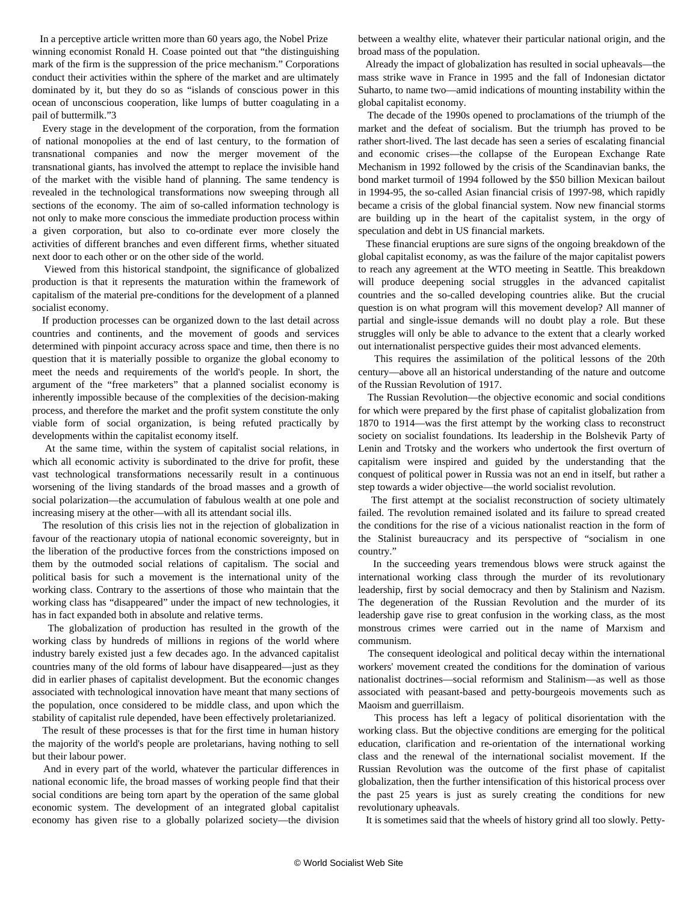In a perceptive article written more than 60 years ago, the Nobel Prize winning economist Ronald H. Coase pointed out that "the distinguishing mark of the firm is the suppression of the price mechanism." Corporations conduct their activities within the sphere of the market and are ultimately dominated by it, but they do so as "islands of conscious power in this ocean of unconscious cooperation, like lumps of butter coagulating in a pail of buttermilk."3

 Every stage in the development of the corporation, from the formation of national monopolies at the end of last century, to the formation of transnational companies and now the merger movement of the transnational giants, has involved the attempt to replace the invisible hand of the market with the visible hand of planning. The same tendency is revealed in the technological transformations now sweeping through all sections of the economy. The aim of so-called information technology is not only to make more conscious the immediate production process within a given corporation, but also to co-ordinate ever more closely the activities of different branches and even different firms, whether situated next door to each other or on the other side of the world.

 Viewed from this historical standpoint, the significance of globalized production is that it represents the maturation within the framework of capitalism of the material pre-conditions for the development of a planned socialist economy.

 If production processes can be organized down to the last detail across countries and continents, and the movement of goods and services determined with pinpoint accuracy across space and time, then there is no question that it is materially possible to organize the global economy to meet the needs and requirements of the world's people. In short, the argument of the "free marketers" that a planned socialist economy is inherently impossible because of the complexities of the decision-making process, and therefore the market and the profit system constitute the only viable form of social organization, is being refuted practically by developments within the capitalist economy itself.

 At the same time, within the system of capitalist social relations, in which all economic activity is subordinated to the drive for profit, these vast technological transformations necessarily result in a continuous worsening of the living standards of the broad masses and a growth of social polarization—the accumulation of fabulous wealth at one pole and increasing misery at the other—with all its attendant social ills.

 The resolution of this crisis lies not in the rejection of globalization in favour of the reactionary utopia of national economic sovereignty, but in the liberation of the productive forces from the constrictions imposed on them by the outmoded social relations of capitalism. The social and political basis for such a movement is the international unity of the working class. Contrary to the assertions of those who maintain that the working class has "disappeared" under the impact of new technologies, it has in fact expanded both in absolute and relative terms.

 The globalization of production has resulted in the growth of the working class by hundreds of millions in regions of the world where industry barely existed just a few decades ago. In the advanced capitalist countries many of the old forms of labour have disappeared—just as they did in earlier phases of capitalist development. But the economic changes associated with technological innovation have meant that many sections of the population, once considered to be middle class, and upon which the stability of capitalist rule depended, have been effectively proletarianized.

 The result of these processes is that for the first time in human history the majority of the world's people are proletarians, having nothing to sell but their labour power.

 And in every part of the world, whatever the particular differences in national economic life, the broad masses of working people find that their social conditions are being torn apart by the operation of the same global economic system. The development of an integrated global capitalist economy has given rise to a globally polarized society—the division

between a wealthy elite, whatever their particular national origin, and the broad mass of the population.

 Already the impact of globalization has resulted in social upheavals—the mass strike wave in France in 1995 and the fall of Indonesian dictator Suharto, to name two—amid indications of mounting instability within the global capitalist economy.

 The decade of the 1990s opened to proclamations of the triumph of the market and the defeat of socialism. But the triumph has proved to be rather short-lived. The last decade has seen a series of escalating financial and economic crises—the collapse of the European Exchange Rate Mechanism in 1992 followed by the crisis of the Scandinavian banks, the bond market turmoil of 1994 followed by the \$50 billion Mexican bailout in 1994-95, the so-called Asian financial crisis of 1997-98, which rapidly became a crisis of the global financial system. Now new financial storms are building up in the heart of the capitalist system, in the orgy of speculation and debt in US financial markets.

 These financial eruptions are sure signs of the ongoing breakdown of the global capitalist economy, as was the failure of the major capitalist powers to reach any agreement at the WTO meeting in Seattle. This breakdown will produce deepening social struggles in the advanced capitalist countries and the so-called developing countries alike. But the crucial question is on what program will this movement develop? All manner of partial and single-issue demands will no doubt play a role. But these struggles will only be able to advance to the extent that a clearly worked out internationalist perspective guides their most advanced elements.

 This requires the assimilation of the political lessons of the 20th century—above all an historical understanding of the nature and outcome of the Russian Revolution of 1917.

 The Russian Revolution—the objective economic and social conditions for which were prepared by the first phase of capitalist globalization from 1870 to 1914—was the first attempt by the working class to reconstruct society on socialist foundations. Its leadership in the Bolshevik Party of Lenin and Trotsky and the workers who undertook the first overturn of capitalism were inspired and guided by the understanding that the conquest of political power in Russia was not an end in itself, but rather a step towards a wider objective—the world socialist revolution.

 The first attempt at the socialist reconstruction of society ultimately failed. The revolution remained isolated and its failure to spread created the conditions for the rise of a vicious nationalist reaction in the form of the Stalinist bureaucracy and its perspective of "socialism in one country."

 In the succeeding years tremendous blows were struck against the international working class through the murder of its revolutionary leadership, first by social democracy and then by Stalinism and Nazism. The degeneration of the Russian Revolution and the murder of its leadership gave rise to great confusion in the working class, as the most monstrous crimes were carried out in the name of Marxism and communism.

 The consequent ideological and political decay within the international workers' movement created the conditions for the domination of various nationalist doctrines—social reformism and Stalinism—as well as those associated with peasant-based and petty-bourgeois movements such as Maoism and guerrillaism.

 This process has left a legacy of political disorientation with the working class. But the objective conditions are emerging for the political education, clarification and re-orientation of the international working class and the renewal of the international socialist movement. If the Russian Revolution was the outcome of the first phase of capitalist globalization, then the further intensification of this historical process over the past 25 years is just as surely creating the conditions for new revolutionary upheavals.

It is sometimes said that the wheels of history grind all too slowly. Petty-